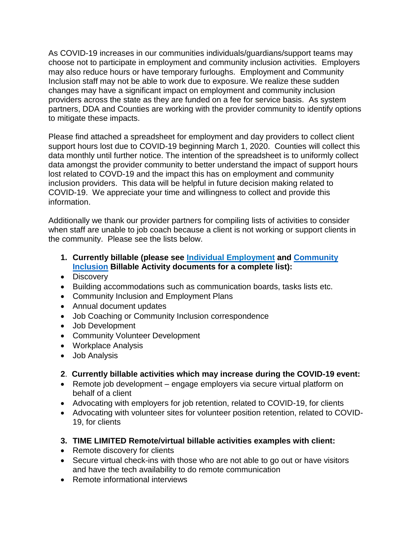As COVID-19 increases in our communities individuals/guardians/support teams may choose not to participate in employment and community inclusion activities. Employers may also reduce hours or have temporary furloughs. Employment and Community Inclusion staff may not be able to work due to exposure. We realize these sudden changes may have a significant impact on employment and community inclusion providers across the state as they are funded on a fee for service basis. As system partners, DDA and Counties are working with the provider community to identify options to mitigate these impacts.

Please find attached a spreadsheet for employment and day providers to collect client support hours lost due to COVID-19 beginning March 1, 2020. Counties will collect this data monthly until further notice. The intention of the spreadsheet is to uniformly collect data amongst the provider community to better understand the impact of support hours lost related to COVD-19 and the impact this has on employment and community inclusion providers. This data will be helpful in future decision making related to COVID-19. We appreciate your time and willingness to collect and provide this information.

Additionally we thank our provider partners for compiling lists of activities to consider when staff are unable to job coach because a client is not working or support clients in the community. Please see the lists below.

- **1. Currently billable (please see [Individual Employment](https://www.dshs.wa.gov/sites/default/files/DDA/dda/documents/Individual%20Employment%20Billable%20Activities%207.2019.pdf) and [Community](https://www.dshs.wa.gov/sites/default/files/DDA/dda/documents/CI%20Billable%20Activities%202-1-2018.pdf)  [Inclusion](https://www.dshs.wa.gov/sites/default/files/DDA/dda/documents/CI%20Billable%20Activities%202-1-2018.pdf) Billable Activity documents for a complete list):**
- Discovery
- Building accommodations such as communication boards, tasks lists etc.
- Community Inclusion and Employment Plans
- Annual document updates
- Job Coaching or Community Inclusion correspondence
- Job Development
- Community Volunteer Development
- Workplace Analysis
- Job Analysis

## **2**. **Currently billable activities which may increase during the COVID-19 event:**

- Remote job development engage employers via secure virtual platform on behalf of a client
- Advocating with employers for job retention, related to COVID-19, for clients
- Advocating with volunteer sites for volunteer position retention, related to COVID-19, for clients
- **3. TIME LIMITED Remote/virtual billable activities examples with client:**
- Remote discovery for clients
- Secure virtual check-ins with those who are not able to go out or have visitors and have the tech availability to do remote communication
- Remote informational interviews